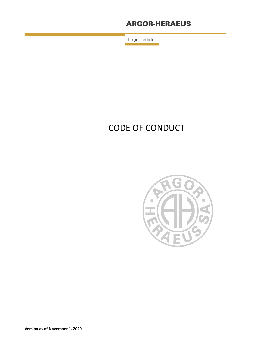# **ARGOR-HERAEUS**

The golden link

# CODE OF CONDUCT



**Version as of November 1, 2020**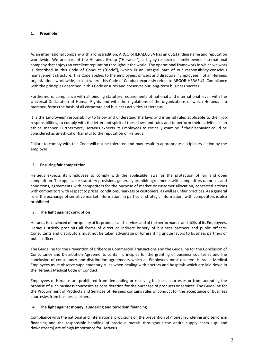#### **1. Preamble**

As an international company with a long tradition, ARGOR-HERAEUS SA has an outstanding name and reputation worldwide. We are part of the Heraeus Group ("Heraeus"), a highly-respected, family-owned international company that enjoys an excellent reputation throughout the world. The operational framework in which we work is described in this Code of Conduct ("Code"), which is an integral part of our responsibility-conscious management structure. This Code applies to the employees, officers and directors ("Employees") of all Heraeus organizations worldwide, except where this Code of Conduct expressly refers to ARGOR-HERAEUS. Compliance with the principles described in this Code ensures and preserves our long-term business success.

Furthermore, compliance with all binding statutory requirements at national and international level, with the Universal Declaration of Human Rights and with the regulations of the organizations of which Heraeus is a member, forms the basis of all corporate and business activities at Heraeus.

It is the Employees' responsibility to know and understand the laws and internal rules applicable to their job responsibilities, to comply with the letter and spirit of these laws and rules and to perform their activities in an ethical manner. Furthermore, Heraeus expects its Employees to critically examine if their behavior could be considered as unethical or harmful to the reputation of Heraeus.

Failure to comply with this Code will not be tolerated and may result in appropriate disciplinary action by the employer.

# **2. Ensuring fair competition**

Heraeus expects its Employees to comply with the applicable laws for the protection of fair and open competition. The applicable statutory provisions generally prohibit agreements with competitors on prices and conditions, agreements with competitors for the purpose of market or customer allocation, concerted actions with competitors with respect to prices, conditions, markets or customers, as well as unfair practices. As a general rule, the exchange of sensitive market information, in particular strategic information, with competitors is also prohibited.

#### **3. The fight against corruption**

Heraeus is convinced of the quality of its products and services and of the performance and skills of its Employees. Heraeus strictly prohibits all forms of direct or indirect bribery of business partners and public officers. Consultants and distributors must not be taken advantage of for granting undue favors to business partners or public officers.

The Guideline for the Prevention of Bribery in Commercial Transactions and the Guideline for the Conclusion of Consultancy and Distribution Agreements contain principles for the granting of business courtesies and the conclusion of consultancy and distribution agreements which all Employees must observe. Heraeus Medical Employees must observe supplementary rules when dealing with doctors and hospitals which are laid down in the Heraeus Medical Code of Conduct.

Employees of Heraeus are prohibited from demanding or receiving business courtesies or from accepting the promise of such business courtesies as consideration for the purchase of products or services. The Guideline for the Procurement of Products and Services of Heraeus contains rules of conduct for the acceptance of business courtesies from business partners

#### **4. The fight against money laundering and terrorism financing**

Compliance with the national and international provisions on the prevention of money laundering and terrorism financing and the responsible handling of precious metals throughout the entire supply chain (up- and downstream) are of high importance for Heraeus.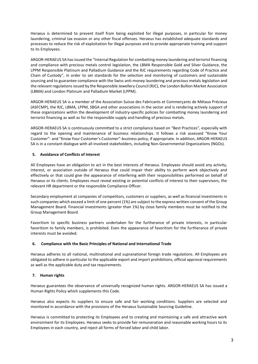Heraeus is determined to prevent itself from being exploited for illegal purposes, in particular for money laundering, criminal tax evasion or any other fiscal offenses. Heraeus has established adequate standards and processes to reduce the risk of exploitation for illegal purposes and to provide appropriate training and support to its Employees.

ARGOR-HERAEUS SA has issued the "Internal Regulation for combatting money laundering and terrorist financing and compliance with precious metals control legislation, the LBMA Responsible Gold and Silver Guidance, the LPPM Responsible Platinum and Palladium Guidance and the RJC requirements regarding Code of Practice and Chain of Custody", in order to set standards for the selection and monitoring of customers and sustainable sourcing and to guarantee compliance with the Swiss anti-money laundering and precious metals legislation and the relevant regulationsissued by the Responsible Jewellery Council (RJC), the London Bullion Market Association (LBMA) and London Platinum and Palladium Market (LPPM).

ARGOR-HERAEUS SA is a member of the Association Suisse des Fabricants et Commerçants de Métaux Précieux (ASFCMP), the RJC, LBMA, LPPM, SBGA and other associations in the sector and is rendering actively support of these organizations within the development of industry-specific policies for combatting money laundering and terrorist financing as well as for the responsible supply and handling of precious metals.

ARGOR-HERAEUS SA is continuously committed to a strict compliance based on "Best Practices", especially with regard to the opening and maintenance of business relationships. It follows a risk assessed "Know Your Customer"- and "Know Your Customer's Customer"-business policy, if appropriate. In addition, ARGOR-HERAEUS SA is in a constant dialogue with all involved stakeholders, including Non-Governmental Organizations (NGOs).

# **5. Avoidance of Conflicts of Interest**

All Employees have an obligation to act in the best interests of Heraeus. Employees should avoid any activity, interest, or association outside of Heraeus that could impair their ability to perform work objectively and effectively or that could give the appearance of interfering with their responsibilities performed on behalf of Heraeus or its clients. Employees must reveal existing or potential conflicts of interest to their supervisors, the relevant HR department or the responsible Compliance Officer.

Secondary employment at companies of competitors, customers or suppliers, as well as financial investments in such companies which exceed a limit of one percent (1%) are subject to the express written consent of the Group Management Board. Financial investments (greater than 1%) by close family members must be notified to the Group Management Board.

Favoritism to specific business partners undertaken for the furtherance of private interests, in particular favoritism to family members, is prohibited. Even the appearance of favoritism for the furtherance of private interests must be avoided.

#### **6. Compliance with the Basic Principles of National and International Trade**

Heraeus adheres to all national, multinational and supranational foreign trade regulations. All Employees are obligated to adhere in particular to the applicable export and import prohibitions, official approval requirements as well as the applicable duty and tax requirements.

#### **7. Human rights**

Heraeus guarantees the observance of universally recognized human rights. ARGOR-HERAEUS SA has issued a Human Rights Policy which supplements this Code.

Heraeus also expects its suppliers to ensure safe and fair working conditions. Suppliers are selected and monitored in accordance with the provisions of the Heraeus Sustainable Sourcing Guideline.

Heraeus is committed to protecting its Employees and to creating and maintaining a safe and attractive work environment for its Employees. Heraeus seeks to provide fair remuneration and reasonable working hours to its Employees in each country, and reject all forms of forced labor and child labor.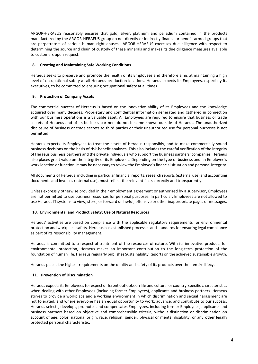ARGOR-HERAEUS reasonably ensures that gold, silver, platinum and palladium contained in the products manufactured by the ARGOR-HERAEUS group do not directly or indirectly finance or benefit armed groups that are perpetrators of serious human right abuses.. ARGOR-HERAEUS exercises due diligence with respect to determining the source and chain of custody of these minerals and makes its due diligence measures available to customers upon request.

# **8. Creating and Maintaining Safe Working Conditions**

Heraeus seeks to preserve and promote the health of its Employees and therefore aims at maintaining a high level of occupational safety at all Heraeus production locations. Heraeus expects its Employees, especially its executives, to be committed to ensuring occupational safety at all times.

# **9. Protection of Company Assets**

The commercial success of Heraeus is based on the innovative ability of its Employees and the knowledge acquired over many decades. Proprietary and confidential information generated and gathered in connection with our business operations is a valuable asset. All Employees are required to ensure that business or trade secrets of Heraeus and of its business partners do not become known outside of Heraeus. The unauthorized disclosure of business or trade secrets to third parties or their unauthorized use for personal purposes is not permitted.

Heraeus expects its Employees to treat the assets of Heraeus responsibly, and to make commercially sound business decisions on the basis of risk-benefit analyses. This also includes the careful verification of the integrity of Heraeus business partners and the private individuals who support the business partners' companies. Heraeus also places great value on the integrity of its Employees. Depending on the type of business and an Employee's work location or function, it may be necessary to review the Employee's financial situation and personal integrity.

All documents of Heraeus, including in particular financial reports, research reports (external use) and accounting documents and invoices (internal use), must reflect the relevant facts correctly and transparently.

Unless expressly otherwise provided in their employment agreement or authorized by a supervisor, Employees are not permitted to use business resources for personal purposes. In particular, Employees are not allowed to use Heraeus IT systems to view, store, or forward unlawful, offensive or other inappropriate pages or messages.

#### **10. Environmental and Product Safety; Use of Natural Resources**

Heraeus' activities are based on compliance with the applicable regulatory requirements for environmental protection and workplace safety. Heraeus has established processes and standards for ensuring legal compliance as part of its responsibility management.

Heraeus is committed to a respectful treatment of the resources of nature. With its innovative products for environmental protection, Heraeus makes an important contribution to the long-term protection of the foundation of human life. Heraeus regularly publishes Sustainability Reports on the achieved sustainable growth.

Heraeus places the highest requirements on the quality and safety of its products over their entire lifecycle.

#### **11. Prevention of Discrimination**

Heraeus expects its Employees to respect different outlooks on life and cultural or country-specific characteristics when dealing with other Employees (including former Employees), applicants and business partners. Heraeus strives to provide a workplace and a working environment in which discrimination and sexual harassment are not tolerated, and where everyone has an equal opportunity to work, advance, and contribute to our success. Heraeus selects, develops, promotes and compensates Employees, including former Employees, applicants and business partners based on objective and comprehensible criteria, without distinction or discrimination on account of age, color, national origin, race, religion, gender, physical or mental disability, or any other legally protected personal characteristic.